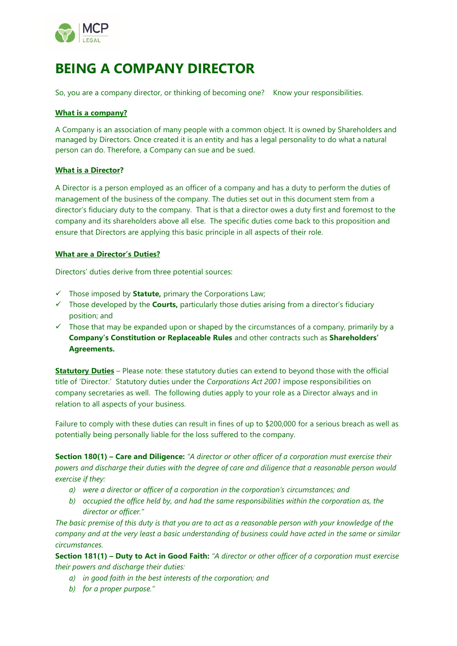

# **BEING A COMPANY DIRECTOR**

So, you are a company director, or thinking of becoming one? Know your responsibilities.

## **What is a company?**

A Company is an association of many people with a common object. It is owned by Shareholders and managed by Directors. Once created it is an entity and has a legal personality to do what a natural person can do. Therefore, a Company can sue and be sued.

# **What is a Director?**

A Director is a person employed as an officer of a company and has a duty to perform the duties of management of the business of the company. The duties set out in this document stem from a director's fiduciary duty to the company. That is that a director owes a duty first and foremost to the company and its shareholders above all else. The specific duties come back to this proposition and ensure that Directors are applying this basic principle in all aspects of their role.

## **What are a Director's Duties?**

Directors' duties derive from three potential sources:

- ✓ Those imposed by **Statute,** primary the Corporations Law;
- ✓ Those developed by the **Courts,** particularly those duties arising from a director's fiduciary position; and
- ✓ Those that may be expanded upon or shaped by the circumstances of a company, primarily by a **Company's Constitution or Replaceable Rules** and other contracts such as **Shareholders' Agreements.**

**Statutory Duties** – Please note: these statutory duties can extend to beyond those with the official title of 'Director.' Statutory duties under the *Corporations Act 2001* impose responsibilities on company secretaries as well. The following duties apply to your role as a Director always and in relation to all aspects of your business.

Failure to comply with these duties can result in fines of up to \$200,000 for a serious breach as well as potentially being personally liable for the loss suffered to the company.

**Section 180(1) – Care and Diligence:** *"A director or other officer of a corporation must exercise their powers and discharge their duties with the degree of care and diligence that a reasonable person would exercise if they:* 

- *a) were a director or officer of a corporation in the corporation's circumstances; and*
- *b) occupied the office held by, and had the same responsibilities within the corporation as, the director or officer."*

*The basic premise of this duty is that you are to act as a reasonable person with your knowledge of the company and at the very least a basic understanding of business could have acted in the same or similar circumstances.*

**Section 181(1) – Duty to Act in Good Faith:** *"A director or other officer of a corporation must exercise their powers and discharge their duties:* 

- *a) in good faith in the best interests of the corporation; and*
- *b) for a proper purpose."*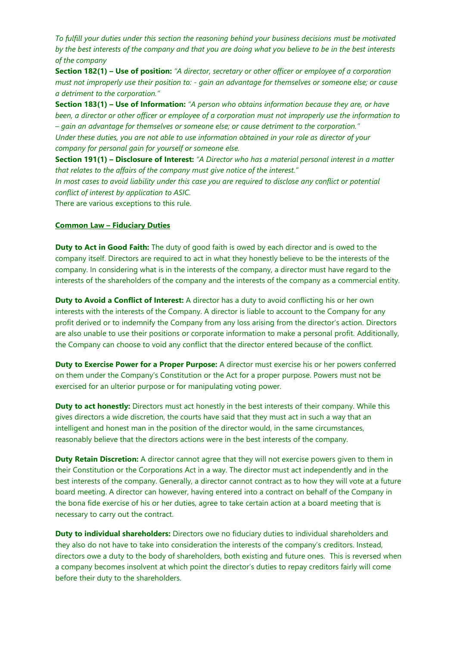*To fulfill your duties under this section the reasoning behind your business decisions must be motivated by the best interests of the company and that you are doing what you believe to be in the best interests of the company*

**Section 182(1) – Use of position:** *"A director, secretary or other officer or employee of a corporation must not improperly use their position to: - gain an advantage for themselves or someone else; or cause a detriment to the corporation."*

**Section 183(1) – Use of Information:** *"A person who obtains information because they are, or have been, a director or other officer or employee of a corporation must not improperly use the information to – gain an advantage for themselves or someone else; or cause detriment to the corporation." Under these duties, you are not able to use information obtained in your role as director of your company for personal gain for yourself or someone else.*

**Section 191(1) – Disclosure of Interest:** *"A Director who has a material personal interest in a matter that relates to the affairs of the company must give notice of the interest."* 

*In most cases to avoid liability under this case you are required to disclose any conflict or potential conflict of interest by application to ASIC.*

There are various exceptions to this rule.

#### **Common Law – Fiduciary Duties**

**Duty to Act in Good Faith:** The duty of good faith is owed by each director and is owed to the company itself. Directors are required to act in what they honestly believe to be the interests of the company. In considering what is in the interests of the company, a director must have regard to the interests of the shareholders of the company and the interests of the company as a commercial entity.

**Duty to Avoid a Conflict of Interest:** A director has a duty to avoid conflicting his or her own interests with the interests of the Company. A director is liable to account to the Company for any profit derived or to indemnify the Company from any loss arising from the director's action. Directors are also unable to use their positions or corporate information to make a personal profit. Additionally, the Company can choose to void any conflict that the director entered because of the conflict.

**Duty to Exercise Power for a Proper Purpose:** A director must exercise his or her powers conferred on them under the Company's Constitution or the Act for a proper purpose. Powers must not be exercised for an ulterior purpose or for manipulating voting power.

**Duty to act honestly:** Directors must act honestly in the best interests of their company. While this gives directors a wide discretion, the courts have said that they must act in such a way that an intelligent and honest man in the position of the director would, in the same circumstances, reasonably believe that the directors actions were in the best interests of the company.

**Duty Retain Discretion:** A director cannot agree that they will not exercise powers given to them in their Constitution or the Corporations Act in a way. The director must act independently and in the best interests of the company. Generally, a director cannot contract as to how they will vote at a future board meeting. A director can however, having entered into a contract on behalf of the Company in the bona fide exercise of his or her duties, agree to take certain action at a board meeting that is necessary to carry out the contract.

**Duty to individual shareholders:** Directors owe no fiduciary duties to individual shareholders and they also do not have to take into consideration the interests of the company's creditors. Instead, directors owe a duty to the body of shareholders, both existing and future ones. This is reversed when a company becomes insolvent at which point the director's duties to repay creditors fairly will come before their duty to the shareholders.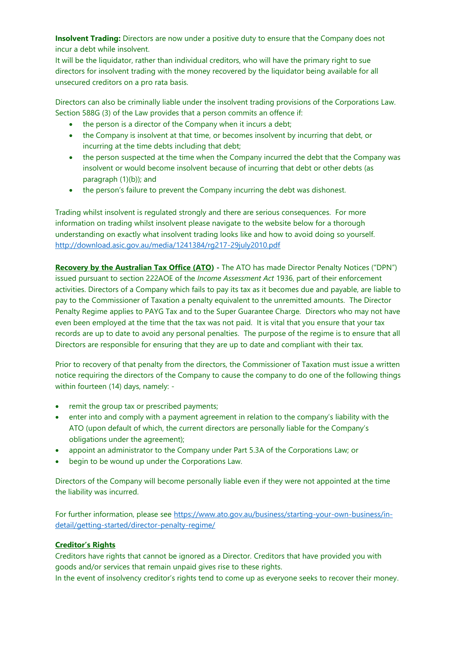**Insolvent Trading:** Directors are now under a positive duty to ensure that the Company does not incur a debt while insolvent.

It will be the liquidator, rather than individual creditors, who will have the primary right to sue directors for insolvent trading with the money recovered by the liquidator being available for all unsecured creditors on a pro rata basis.

Directors can also be criminally liable under the insolvent trading provisions of the Corporations Law. Section 588G (3) of the Law provides that a person commits an offence if:

- the person is a director of the Company when it incurs a debt;
- the Company is insolvent at that time, or becomes insolvent by incurring that debt, or incurring at the time debts including that debt;
- the person suspected at the time when the Company incurred the debt that the Company was insolvent or would become insolvent because of incurring that debt or other debts (as paragraph (1)(b)); and
- the person's failure to prevent the Company incurring the debt was dishonest.

Trading whilst insolvent is regulated strongly and there are serious consequences. For more information on trading whilst insolvent please navigate to the website below for a thorough understanding on exactly what insolvent trading looks like and how to avoid doing so yourself. <http://download.asic.gov.au/media/1241384/rg217-29july2010.pdf>

**Recovery by the Australian Tax Office (ATO)** - The ATO has made Director Penalty Notices ("DPN") issued pursuant to section 222AOE of the *Income Assessment Act* 1936, part of their enforcement activities. Directors of a Company which fails to pay its tax as it becomes due and payable, are liable to pay to the Commissioner of Taxation a penalty equivalent to the unremitted amounts. The Director Penalty Regime applies to PAYG Tax and to the Super Guarantee Charge. Directors who may not have even been employed at the time that the tax was not paid. It is vital that you ensure that your tax records are up to date to avoid any personal penalties. The purpose of the regime is to ensure that all Directors are responsible for ensuring that they are up to date and compliant with their tax.

Prior to recovery of that penalty from the directors, the Commissioner of Taxation must issue a written notice requiring the directors of the Company to cause the company to do one of the following things within fourteen (14) days, namely: -

- remit the group tax or prescribed payments;
- enter into and comply with a payment agreement in relation to the company's liability with the ATO (upon default of which, the current directors are personally liable for the Company's obligations under the agreement);
- appoint an administrator to the Company under Part 5.3A of the Corporations Law; or
- begin to be wound up under the Corporations Law.

Directors of the Company will become personally liable even if they were not appointed at the time the liability was incurred.

For further information, please see [https://www.ato.gov.au/business/starting-your-own-business/in](https://www.ato.gov.au/business/starting-your-own-business/in-detail/getting-started/director-penalty-regime/)[detail/getting-started/director-penalty-regime/](https://www.ato.gov.au/business/starting-your-own-business/in-detail/getting-started/director-penalty-regime/)

# **Creditor's Rights**

Creditors have rights that cannot be ignored as a Director. Creditors that have provided you with goods and/or services that remain unpaid gives rise to these rights.

In the event of insolvency creditor's rights tend to come up as everyone seeks to recover their money.